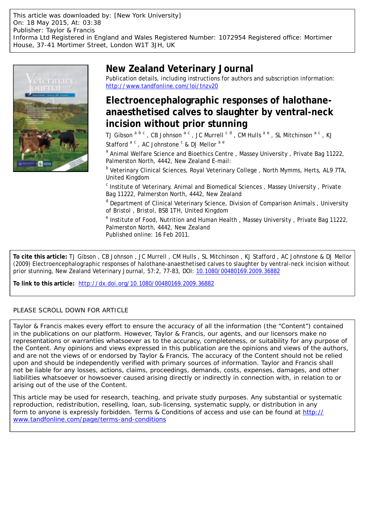This article was downloaded by: [New York University] On: 18 May 2015, At: 03:38 Publisher: Taylor & Francis Informa Ltd Registered in England and Wales Registered Number: 1072954 Registered office: Mortimer House, 37-41 Mortimer Street, London W1T 3JH, UK



# **New Zealand Veterinary Journal**

Publication details, including instructions for authors and subscription information: <http://www.tandfonline.com/loi/tnzv20>

# **Electroencephalographic responses of halothaneanaesthetised calves to slaughter by ventral-neck incision without prior stunning**

TJ Gibson  $^{\rm a~b~c}$  , CB Johnson  $^{\rm a~c}$  , JC Murrell  $^{\rm c~d}$  , CM Hulls  $^{\rm a~e}$  , SL Mitchinson  $^{\rm a~c}$  , KJ Stafford <sup>a c</sup>, AC Johnstone <sup>c</sup> & DJ Mellor <sup>a e</sup>

<sup>a</sup> Animal Welfare Science and Bioethics Centre, Massey University, Private Bag 11222, Palmerston North, 4442, New Zealand E-mail:

<sup>b</sup> Veterinary Clinical Sciences, Royal Veterinary College, North Mymms, Herts, AL9 7TA, United Kingdom

<sup>c</sup> Institute of Veterinary, Animal and Biomedical Sciences, Massey University, Private Bag 11222, Palmerston North, 4442, New Zealand

<sup>d</sup> Department of Clinical Veterinary Science, Division of Comparison Animals, University of Bristol , Bristol, BS8 1TH, United Kingdom

<sup>e</sup> Institute of Food, Nutrition and Human Health, Massey University, Private Bag 11222, Palmerston North, 4442, New Zealand Published online: 16 Feb 2011.

**To cite this article:** TJ Gibson , CB Johnson , JC Murrell , CM Hulls , SL Mitchinson , KJ Stafford , AC Johnstone & DJ Mellor (2009) Electroencephalographic responses of halothane-anaesthetised calves to slaughter by ventral-neck incision without prior stunning, New Zealand Veterinary Journal, 57:2, 77-83, DOI: [10.1080/00480169.2009.36882](http://www.tandfonline.com/action/showCitFormats?doi=10.1080/00480169.2009.36882)

**To link to this article:** <http://dx.doi.org/10.1080/00480169.2009.36882>

### PLEASE SCROLL DOWN FOR ARTICLE

Taylor & Francis makes every effort to ensure the accuracy of all the information (the "Content") contained in the publications on our platform. However, Taylor & Francis, our agents, and our licensors make no representations or warranties whatsoever as to the accuracy, completeness, or suitability for any purpose of the Content. Any opinions and views expressed in this publication are the opinions and views of the authors, and are not the views of or endorsed by Taylor & Francis. The accuracy of the Content should not be relied upon and should be independently verified with primary sources of information. Taylor and Francis shall not be liable for any losses, actions, claims, proceedings, demands, costs, expenses, damages, and other liabilities whatsoever or howsoever caused arising directly or indirectly in connection with, in relation to or arising out of the use of the Content.

This article may be used for research, teaching, and private study purposes. Any substantial or systematic reproduction, redistribution, reselling, loan, sub-licensing, systematic supply, or distribution in any form to anyone is expressly forbidden. Terms & Conditions of access and use can be found at [http://](http://www.tandfonline.com/page/terms-and-conditions) [www.tandfonline.com/page/terms-and-conditions](http://www.tandfonline.com/page/terms-and-conditions)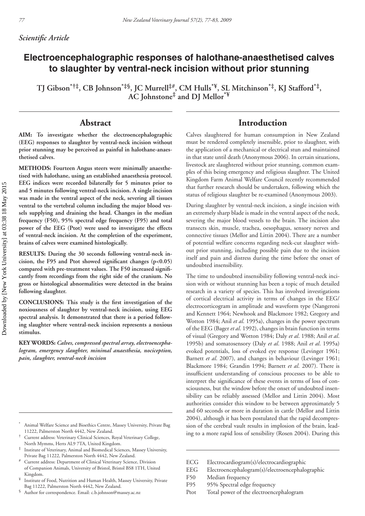## **Electroencephalographic responses of halothane-anaesthetised calves to slaughter by ventral-neck incision without prior stunning**

**TJ Gibson\*†‡, CB Johnson\*‡§, JC Murrell‡#, CM Hulls\*¥, SL Mitchinson\*‡, KJ Stafford\*‡, AC Johnstone‡ and DJ Mellor\*¥**

### **Abstract**

**AIM: To investigate whether the electroencephalographic (EEG) responses to slaughter by ventral-neck incision without prior stunning may be perceived as painful in halothane-anaesthetised calves.**

**METHODS: Fourteen Angus steers were minimally anaesthetised with halothane, using an established anaesthesia protocol. EEG indices were recorded bilaterally for 5 minutes prior to and 5 minutes following ventral-neck incision. A single incision was made in the ventral aspect of the neck, severing all tissues ventral to the vertebral column including the major blood vessels supplying and draining the head. Changes in the median frequency (F50), 95% spectral edge frequency (F95) and total power of the EEG (Ptot) were used to investigate the effects of ventral-neck incision. At the completion of the experiment, brains of calves were examined histologically.**

**RESULTS: During the 30 seconds following ventral-neck in**cision, the F95 and Ptot showed significant changes (p<0.05) compared with pre-treatment values. The F50 increased signifi**cantly from recordings from the right side of the cranium. No gross or histological abnormalities were detected in the brains following slaughter.**

**CONCLUSIONS:** This study is the first investigation of the **noxiousness of slaughter by ventral-neck incision, using EEG spectral analysis. It demonstrated that there is a period following slaughter where ventral-neck incision represents a noxious stimulus.**

**KEY WORDS:** *Calves, compressed spectral array, electroencephalogram, emergency slaughter, minimal anaesthesia, nociception, pain, slaughter, ventral-neck incision*

- Institute of Veterinary, Animal and Biomedical Sciences, Massey University, Private Bag 11222, Palmerston North 4442, New Zealand.
- Current address: Department of Clinical Veterinary Science, Division of Companion Animals, University of Bristol, Bristol BS8 1TH, United Kingdom.
- ¥ Institute of Food, Nutrition and Human Health, Massey University, Private Bag 11222, Palmerston North 4442, New Zealand.
- § Author for correspondence. Email: c.b.johnson@massey.ac.nz

## **Introduction**

Calves slaughtered for human consumption in New Zealand must be rendered completely insensible, prior to slaughter, with the application of a mechanical or electrical stun and maintained in that state until death (Anonymous 2006). In certain situations, livestock are slaughtered without prior stunning, common examples of this being emergency and religious slaughter. The United Kingdom Farm Animal Welfare Council recently recommended that further research should be undertaken, following which the status of religious slaughter be re-examined (Anonymous 2003).

During slaughter by ventral-neck incision, a single incision with an extremely sharp blade is made in the ventral aspect of the neck, severing the major blood vessels to the brain. The incision also transects skin, muscle, trachea, oesophagus, sensory nerves and connective tissues (Mellor and Littin 2004). There are a number of potential welfare concerns regarding neck-cut slaughter without prior stunning, including possible pain due to the incision itself and pain and distress during the time before the onset of undoubted insensibility.

The time to undoubted insensibility following ventral-neck incision with or without stunning has been a topic of much detailed research in a variety of species. This has involved investigations of cortical electrical activity in terms of changes in the EEG/ electrocorticogram in amplitude and waveform type (Nangeroni and Kennett 1964; Newhook and Blackmore 1982; Gregory and Wotton 1984; Anil *et al*. 1995a), changes in the power spectrum of the EEG (Bager *et al*. 1992), changes in brain function in terms of visual (Gregory and Wotton 1984; Daly *et al*. 1988; Anil *et al*. 1995b) and somatosensory (Daly *et al*. 1988; Anil *et al*. 1995a) evoked potentials, loss of evoked eye response (Levinger 1961; Barnett *et al*. 2007), and changes in behaviour (Levinger 1961; Blackmore 1984; Grandin 1994; Barnett *et al*. 2007). There is insufficient understanding of conscious processes to be able to interpret the significance of these events in terms of loss of consciousness, but the window before the onset of undoubted insensibility can be reliably assessed (Mellor and Littin 2004). Most authorities consider this window to be between approximately 5 and 60 seconds or more in duration in cattle (Mellor and Littin 2004), although it has been postulated that the rapid decompression of the cerebral vault results in implosion of the brain, leading to a more rapid loss of sensibility (Rosen 2004). During this

- EEG Electroencephalogram(s)/electroencephalographic
- F50 Median frequency
- F95 95% Spectral edge frequency
- Ptot Total power of the electroencephalogram

<sup>\*</sup> Animal Welfare Science and Bioethics Centre, Massey University, Private Bag 11222, Palmerston North 4442, New Zealand.

<sup>†</sup> Current address: Veterinary Clinical Sciences, Royal Veterinary College, North Mymms, Herts AL9 7TA, United Kingdom.

ECG Electrocardiogram(s)/electrocardiographic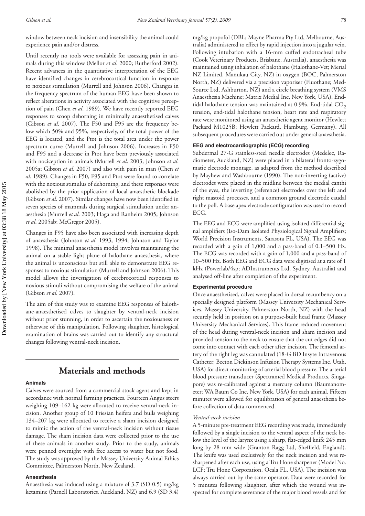window between neck incision and insensibility the animal could experience pain and/or distress.

Until recently no tools were available for assessing pain in animals during this window (Mellor *et al*. 2000; Rutherford 2002). Recent advances in the quantitative interpretation of the EEG have identified changes in cerebrocortical function in response to noxious stimulation (Murrell and Johnson 2006). Changes in the frequency spectrum of the human EEG have been shown to reflect alterations in activity associated with the cognitive perception of pain (Chen *et al*. 1989). We have recently reported EEG responses to scoop dehorning in minimally anaesthetised calves (Gibson *et al*. 2007). The F50 and F95 are the frequency below which 50% and 95%, respectively, of the total power of the EEG is located, and the Ptot is the total area under the power spectrum curve (Murrell and Johnson 2006). Increases in F50 and F95 and a decrease in Ptot have been previously associated with nociception in animals (Murrell *et al*. 2003; Johnson *et al*. 2005a; Gibson *et al*. 2007) and also with pain in man (Chen *et al*. 1989). Changes in F50, F95 and Ptot were found to correlate with the noxious stimulus of dehorning, and these responses were abolished by the prior application of local anaesthetic blockade (Gibson et al. 2007). Similar changes have now been identified in seven species of mammals during surgical stimulation under anaesthesia (Murrell *et al*. 2003; Haga and Ranheim 2005; Johnson *et al*. 2005ab; McGregor 2005).

Changes in F95 have also been associated with increasing depth of anaesthesia (Johnson *et al*. 1993, 1994; Johnson and Taylor 1998). The minimal anaesthesia model involves maintaining the animal on a stable light plane of halothane anaesthesia, where the animal is unconscious but still able to demonstrate EEG responses to noxious stimulation (Murrell and Johnson 2006). This model allows the investigation of cerebrocortical responses to noxious stimuli without compromising the welfare of the animal (Gibson *et al*. 2007).

The aim of this study was to examine EEG responses of halothane-anaesthetised calves to slaughter by ventral-neck incision without prior stunning, in order to ascertain the noxiousness or otherwise of this manipulation. Following slaughter, histological examination of brains was carried out to identify any structural changes following ventral-neck incision.

## **Materials and methods**

#### **Animals**

Calves were sourced from a commercial stock agent and kept in accordance with normal farming practices. Fourteen Angus steers weighing 109–162 kg were allocated to receive ventral-neck incision. Another group of 10 Friesian heifers and bulls weighing 134–207 kg were allocated to receive a sham incision designed to mimic the action of the ventral-neck incision without tissue damage. The sham incision data were collected prior to the use of these animals in another study. Prior to the study, animals were penned overnight with free access to water but not food. The study was approved by the Massey University Animal Ethics Committee, Palmerston North, New Zealand.

#### **Anaesthesia**

Anaesthesia was induced using a mixture of 3.7 (SD 0.5) mg/kg ketamine (Parnell Laboratories, Auckland, NZ) and 6.9 (SD 3.4) mg/kg propofol (DBL; Mayne Pharma Pty Ltd, Melbourne, Australia) administered to effect by rapid injection into a jugular vein. Following intubation with a 16-mm cuffed endotracheal tube (Cook Veterinary Products, Brisbane, Australia), anaesthesia was maintained using inhalation of halothane (Halothane-Vet; Merial NZ Limited, Manukau City, NZ) in oxygen (BOC, Palmerston North, NZ) delivered via a precision vaporiser (Fluothane; Med-Source Ltd, Ashburton, NZ) and a circle breathing system (VMS Anaesthesia Machine; Matrix Medial Inc, New York, USA). Endtidal halothane tension was maintained at  $0.9\%$ . End-tidal  $CO<sub>2</sub>$ tension, end-tidal halothane tension, heart rate and respiratory rate were monitored using an anaesthetic agent monitor (Hewlett Packard M1025B; Hewlett Packard, Hamburg, Germany). All subsequent procedures were carried out under general anaesthesia.

#### **EEG and electrocardiographic (ECG) recording**

Subdermal 27-G stainless-steel needle electrodes (Medelec, Radiometer, Auckland, NZ) were placed in a bilateral fronto-zygomatic electrode montage, as adapted from the method described by Mayhew and Washbourne (1990). The non-inverting (active) electrodes were placed in the midline between the medial canthi of the eyes, the inverting (reference) electrodes over the left and right mastoid processes, and a common ground electrode caudal to the poll. A base apex electrode configuration was used to record ECG.

The EEG and ECG were amplified using isolated differential signal amplifiers (Iso-Dam Isolated Physiological Signal Amplifiers; World Precision Instruments, Sarasota FL, USA). The EEG was recorded with a gain of 1,000 and a pass-band of 0.1–500 Hz. The ECG was recorded with a gain of 1,000 and a pass-band of 10–500 Hz. Both EEG and ECG data were digitised at a rate of 1 kHz (Powerlab/4sp; ADInstruments Ltd, Sydney, Australia) and analysed off-line after completion of the experiment.

#### **Experimental procedure**

Once anaesthetised, calves were placed in dorsal recumbency on a specially designed platform (Massey University Mechanical Services, Massey University, Palmerston North, NZ) with the head securely held in position on a purpose-built head frame (Massey University Mechanical Services). This frame reduced movement of the head during ventral-neck incision and sham incision and provided tension to the neck to ensure that the cut edges did not come into contact with each other after incision. The femoral artery of the right leg was cannulated (18-G BD Insyte Intravenous Catheter; Becton Dickinson Infusion Therapy Systems Inc, Utah, USA) for direct monitoring of arterial blood pressure. The arterial blood pressure transducer (Spectramed Medical Products, Singapore) was re-calibrated against a mercury column (Baumanometer; WA Baum Co Inc, New York, USA) for each animal. Fifteen minutes were allowed for equilibration of general anaesthesia before collection of data commenced.

#### *Ventral-neck incision*

A 5-minute pre-treatment EEG recording was made, immediately followed by a single incision to the ventral aspect of the neck below the level of the larynx using a sharp, flat-edged knife 245 mm long by 28 mm wide (Granton Ragg Ltd, Sheffield, England). The knife was used exclusively for the neck incision and was resharpened after each use, using a Tru Hone sharpener (Model No. LCF; Tru Hone Corporation, Ocala FL, USA). The incision was always carried out by the same operator. Data were recorded for 5 minutes following slaughter, after which the wound was inspected for complete severance of the major blood vessels and for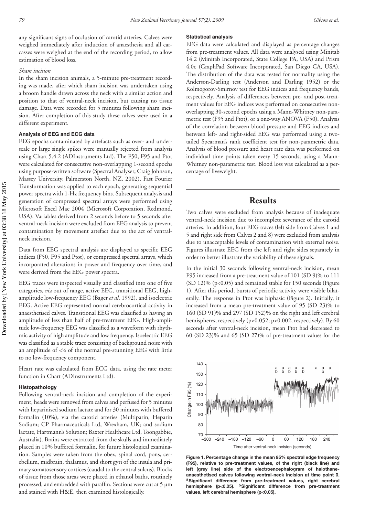any significant signs of occlusion of carotid arteries. Calves were weighed immediately after induction of anaesthesia and all carcasses were weighed at the end of the recording period, to allow estimation of blood loss.

#### *Sham incision*

In the sham incision animals, a 5-minute pre-treatment recording was made, after which sham incision was undertaken using a broom handle drawn across the neck with a similar action and position to that of ventral-neck incision, but causing no tissue damage. Data were recorded for 5 minutes following sham incision. After completion of this study these calves were used in a different experiment.

#### **Analysis of EEG and ECG data**

EEG epochs contaminated by artefacts such as over- and underscale or large single spikes were manually rejected from analysis using Chart 5.4.2 (ADInstruments Ltd). The F50, F95 and Ptot were calculated for consecutive non-overlapping 1-second epochs using purpose-written software (Spectral Analyser; Craig Johnson, Massey University, Palmerston North, NZ, 2002). Fast Fourier Transformation was applied to each epoch, generating sequential power spectra with 1-Hz frequency bins. Subsequent analysis and generation of compressed spectral arrays were performed using Microsoft Excel Mac 2004 (Microsoft Corporation, Redmond, USA). Variables derived from 2 seconds before to 5 seconds after ventral-neck incision were excluded from EEG analysis to prevent contamination by movement artefact due to the act of ventralneck incision.

Data from EEG spectral analysis are displayed as specific EEG indices (F50, F95 and Ptot), or compressed spectral arrays, which incorporated alterations in power and frequency over time, and were derived from the EEG power spectra.

EEG traces were inspected visually and classified into one of five categories, *viz* out of range, active EEG, transitional EEG, highamplitude low-frequency EEG (Bager *et al*. 1992), and isoelectric EEG. Active EEG represented normal cerebrocortical activity in anaesthetised calves. Transitional EEG was classified as having an amplitude of less than half of pre-treatment EEG. High-amplitude low-frequency EEG was classified as a waveform with rhythmic activity of high amplitude and low frequency. Isoelectric EEG was classified as a stable trace consisting of background noise with an amplitude of  $\lt^{\frac{1}{8}}$  of the normal pre-stunning EEG with little to no low-frequency component.

Heart rate was calculated from ECG data, using the rate meter function in Chart (ADInstruments Ltd).

#### **Histopathology**

Following ventral-neck incision and completion of the experiment, heads were removed from calves and perfused for 5 minutes with heparinised sodium lactate and for 30 minutes with buffered formalin (10%), via the carotid arteries (Multiparin, Heparin Sodium; CP Pharmaceuticals Ltd, Wrexham, UK; and sodium lactate, Hartmann's Solution; Baxter Healthcare Ltd, Toongabbie, Australia). Brains were extracted from the skulls and immediately placed in 10% buffered formalin, for future histological examination. Samples were taken from the obex, spinal cord, pons, cerebellum, midbrain, thalamus, and short gyri of the insula and primary somatosensory cortices (caudal to the central sulcus). Blocks of tissue from those areas were placed in ethanol baths, routinely processed, and embedded with paraffin. Sections were cut at 5 µm and stained with H&E, then examined histologically.

#### **Statistical analysis**

EEG data were calculated and displayed as percentage changes from pre-treatment values. All data were analysed using Minitab 14.2 (Minitab Incorporated, State College PA, USA) and Prism 4.0c (GraphPad Software Incorporated, San Diego CA, USA). The distribution of the data was tested for normality using the Anderson-Darling test (Anderson and Darling 1952) or the Kolmogorov-Smirnov test for EEG indices and frequency bands, respectively. Analysis of differences between pre- and post-treatment values for EEG indices was performed on consecutive nonoverlapping 30-second epochs using a Mann-Whitney non-parametric test (F95 and Ptot), or a one-way ANOVA (F50). Analysis of the correlation between blood pressure and EEG indices and between left- and right-sided EEG was performed using a twotailed Spearman's rank coefficient test for non-parametric data. Analysis of blood pressure and heart rate data was performed on individual time points taken every 15 seconds, using a Mann-Whitney non-parametric test. Blood loss was calculated as a percentage of liveweight.

## **Results**

Two calves were excluded from analysis because of inadequate ventral-neck incision due to incomplete severance of the carotid arteries. In addition, four EEG traces (left side from Calves 1 and 5 and right side from Calves 2 and 8) were excluded from analysis due to unacceptable levels of contamination with external noise. Figures illustrate EEG from the left and right sides separately in order to better illustrate the variability of these signals.

In the initial 30 seconds following ventral-neck incision, mean F95 increased from a pre-treatment value of 101 (SD 9)% to 111 (SD 12)% (p<0.05) and remained stable for 150 seconds (Figure 1). After this period, bursts of periodic activity were visible bilaterally. The response in Ptot was biphasic (Figure 2). Initially, it increased from a mean pre-treatment value of 95 (SD 23)% to 160 (SD 91)% and 297 (SD 152)% on the right and left cerebral hemispheres, respectively (p<0.052; p<0.002, respectively). By 60 seconds after ventral-neck incision, mean Ptot had decreased to 60 (SD 23)% and 65 (SD 27)% of pre-treatment values for the



**Figure 1. Percentage change in the mean 95% spectral edge frequency (F95), relative to pre-treatment values, of the right (black line) and left (grey line) side of the electroencephalogram of halothaneanaesthetised calves following ventral-neck incision at time point 0.**  aSignificant difference from pre-treatment values, right cerebral hemisphere (p<0.05). <sup>b</sup>Significant difference from pre-treatment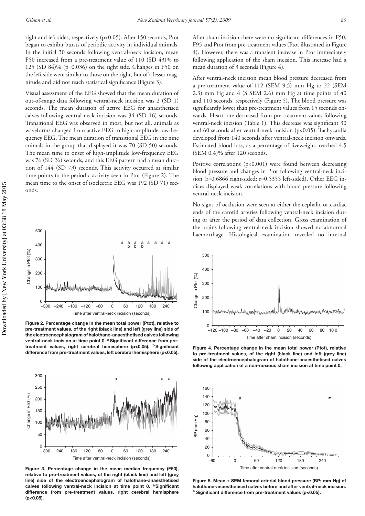right and left sides, respectively (p<0.05). After 150 seconds, Ptot began to exhibit bursts of periodic activity in individual animals. In the initial 30 seconds following ventral-neck incision, mean F50 increased from a pre-treatment value of 110 (SD 43)% to 125 (SD 84)% (p=0.036) on the right side. Changes in F50 on the left side were similar to those on the right, but of a lesser magnitude and did not reach statistical significance (Figure 3).

Visual assessment of the EEG showed that the mean duration of out-of-range data following ventral-neck incision was 2 (SD 1) seconds. The mean duration of active EEG for anaesthetised calves following ventral-neck incision was 34 (SD 16) seconds. Transitional EEG was observed in most, but not all, animals as waveforms changed from active EEG to high-amplitude low-frequency EEG. The mean duration of transitional EEG in the nine animals in the group that displayed it was 70 (SD 50) seconds. The mean time to onset of high-amplitude low-frequency EEG was 76 (SD 26) seconds, and this EEG pattern had a mean duration of 144 (SD 73) seconds. This activity occurred at similar time points to the periodic activity seen in Ptot (Figure 2). The mean time to the onset of isoelectric EEG was 192 (SD 71) seconds.



**Figure 2. Percentage change in the mean total power (Ptot), relative to pre-treatment values, of the right (black line) and left (grey line) side of the electroencephalogram of halothane-anaesthetised calves following**  ventral-neck incision at time point 0. <sup>a</sup> Significant difference from pretreatment values, right cerebral hemisphere (p<0.05). <sup>b</sup>Significant **difference from pre-treatment values, left cerebral hemisphere (p<0.05).**



**Figure 3. Percentage change in the mean median frequency (F50), relative to pre-treatment values, of the right (black line) and left (grey line) side of the electroencephalogram of halothane-anaesthetised**  calves following ventral-neck incision at time point 0. <sup>a</sup>Significant **difference from pre-treatment values, right cerebral hemisphere (p<0.05).**

After sham incision there were no significant differences in F50, F95 and Ptot from pre-treatment values (Ptot illustrated in Figure 4). However, there was a transient increase in Ptot immediately following application of the sham incision. This increase had a mean duration of 3 seconds (Figure 4).

After ventral-neck incision mean blood pressure decreased from a pre-treatment value of 112 (SEM 9.5) mm Hg to 22 (SEM 2.3) mm Hg and 4 (S SEM 2.6) mm Hg at time points of 40 and 110 seconds, respectively (Figure 5). The blood pressure was significantly lower than pre-treatment values from 15 seconds onwards. Heart rate decreased from pre-treatment values following ventral-neck incision (Table 1). This decrease was significant 30 and 60 seconds after ventral-neck incision (p<0.05). Tachycardia developed from 140 seconds after ventral-neck incision onwards. Estimated blood loss, as a percentage of liveweight, reached 4.5 (SEM 0.4)% after 120 seconds.

Positive correlations (p<0.001) were found between decreasing blood pressure and changes in Ptot following ventral-neck incision (r=0.6866 right-sided; r=0.5355 left-sided). Other EEG indices displayed weak correlations with blood pressure following ventral-neck incision.

No signs of occlusion were seen at either the cephalic or cardiac ends of the carotid arteries following ventral-neck incision during or after the period of data collection. Gross examination of the brains following ventral-neck incision showed no abnormal haemorrhage. Histological examination revealed no internal



**Figure 4. Percentage change in the mean total power (Ptot), relative to pre-treatment values, of the right (black line) and left (grey line) side of the electroencephalogram of halothane-anaesthetised calves following application of a non-noxious sham incision at time point 0.**



**Figure 5. Mean ± SEM femoral arterial blood pressure (BP; mm Hg) of halothane-anaesthetised calves before and after ventral-neck incision. a Significant difference from pre-treatment values (p<0.05).**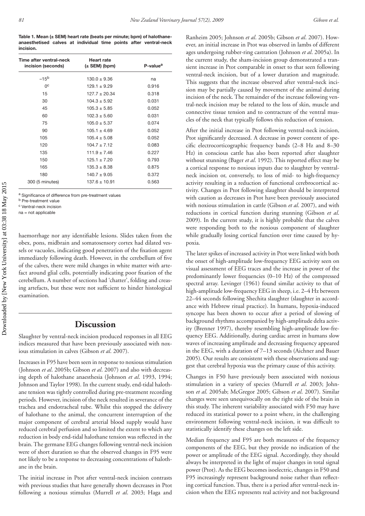**Table 1. Mean (± SEM) heart rate (beats per minute; bpm) of halothaneanaesthetised calves at individual time points after ventral-neck incision.**

| Time after ventral-neck<br>incision (seconds) | <b>Heart rate</b><br>$(\pm$ SEM) (bpm) | P-value <sup>a</sup> |
|-----------------------------------------------|----------------------------------------|----------------------|
| $-15b$                                        | $130.0 + 9.36$                         | na                   |
| 0 <sup>c</sup>                                | $129.1 + 9.29$                         | 0.916                |
| 15                                            | $127.7 \pm 20.34$                      | 0.318                |
| 30                                            | $104.3 \pm 5.92$                       | 0.031                |
| 45                                            | $105.3 + 5.85$                         | 0.052                |
| 60                                            | $102.3 \pm 5.60$                       | 0.031                |
| 75                                            | $105.0 \pm 5.37$                       | 0.074                |
| 90                                            | $105.1 \pm 4.69$                       | 0.052                |
| 105                                           | $105.4 \pm 5.08$                       | 0.052                |
| 120                                           | $104.7 \pm 7.12$                       | 0.083                |
| 135                                           | $111.9 \pm 7.46$                       | 0.227                |
| 150                                           | $125.1 \pm 7.20$                       | 0.793                |
| 165                                           | $135.3 \pm 8.38$                       | 0.875                |
| 180                                           | $140.7 \pm 9.05$                       | 0.372                |
| 300 (5 minutes)                               | $137.6 \pm 10.91$                      | 0.563                |

a Significance of difference from pre-treatment values

b Pre-treatment value

c Ventral-neck incision

na = not applicable

haemorrhage nor any identifiable lesions. Slides taken from the obex, pons, midbrain and somatosensory cortex had dilated vessels or vacuoles, indicating good penetration of the fixation agent immediately following death. However, in the cerebellum of five of the calves, there were mild changes in white matter with artefact around glial cells, potentially indicating poor fixation of the cerebellum. A number of sections had 'chatter', folding and creasing artefacts, but these were not sufficient to hinder histological examination.

### **Discussion**

Slaughter by ventral-neck incision produced responses in all EEG indices measured that have been previously associated with noxious stimulation in calves (Gibson *et al*. 2007).

Increases in F95 have been seen in response to noxious stimulation (Johnson *et al*. 2005b; Gibson *et al*. 2007) and also with decreasing depth of halothane anaesthesia (Johnson *et al*. 1993, 1994; Johnson and Taylor 1998). In the current study, end-tidal halothane tension was tightly controlled during pre-treatment recording periods. However, incision of the neck resulted in severance of the trachea and endotracheal tube. Whilst this stopped the delivery of halothane to the animal, the concurrent interruption of the major component of cerebral arterial blood supply would have reduced cerebral perfusion and so limited the extent to which any reduction in body end-tidal halothane tension was reflected in the brain. The germane EEG changes following ventral-neck incision were of short duration so that the observed changes in F95 were not likely to be a response to decreasing concentrations of halothane in the brain.

The initial increase in Ptot after ventral-neck incision contrasts with previous studies that have generally shown decreases in Ptot following a noxious stimulus (Murrell *et al*. 2003; Haga and

Ranheim 2005; Johnson *et al*. 2005b; Gibson *et al*. 2007). However, an initial increase in Ptot was observed in lambs of different ages undergoing rubber-ring castration (Johnson *et al*. 2005a). In the current study, the sham-incision group demonstrated a transient increase in Ptot comparable in onset to that seen following ventral-neck incision, but of a lower duration and magnitude. This suggests that the increase observed after ventral-neck incision may be partially caused by movement of the animal during incision of the neck. The remainder of the increase following ventral-neck incision may be related to the loss of skin, muscle and connective tissue tension and to contracture of the ventral muscles of the neck that typically follows this reduction of tension.

After the initial increase in Ptot following ventral-neck incision, Ptot significantly decreased. A decrease in power content of specific electrocorticographic frequency bands  $(2-8)$  Hz and  $8-30$ Hz) in conscious cattle has also been reported after slaughter without stunning (Bager *et al*. 1992). This reported effect may be a cortical response to noxious inputs due to slaughter by ventralneck incision or, conversely, to loss of mid- to high-frequency activity resulting in a reduction of functional cerebrocortical activity. Changes in Ptot following slaughter should be interpreted with caution as decreases in Ptot have been previously associated with noxious stimulation in cattle (Gibson *et al*. 2007), and with reductions in cortical function during stunning (Gibson *et al*. 2009). In the current study, it is highly probable that the calves were responding both to the noxious component of slaughter while gradually losing cortical function over time caused by hypoxia.

The later spikes of increased activity in Ptot were linked with both the onset of high-amplitude low-frequency EEG activity seen on visual assessment of EEG traces and the increase in power of the predominantly lower frequencies (0–10 Hz) of the compressed spectral array. Levinger (1961) found similar activity to that of high-amplitude low-frequency EEG in sheep, i.e. 2–4 Hz between 22–44 seconds following Shechita slaughter (slaughter in accordance with Hebrew ritual practice). In humans, hypoxia-induced syncope has been shown to occur after a period of slowing of background rhythms accompanied by high-amplitude delta activity (Brenner 1997), thereby resembling high-amplitude low-frequency EEG. Additionally, during cardiac arrest in humans slow waves of increasing amplitude and decreasing frequency appeared in the EEG, with a duration of 7–13 seconds (Aichner and Bauer 2005). Our results are consistent with these observations and suggest that cerebral hypoxia was the primary cause of this activity.

Changes in F50 have previously been associated with noxious stimulation in a variety of species (Murrell *et al*. 2003; Johnson *et al*. 2005ab; McGregor 2005; Gibson *et al*. 2007). Similar changes were seen unequivocally on the right side of the brain in this study. The inherent variability associated with F50 may have reduced its statistical power to a point where, in the challenging environment following ventral-neck incision, it was difficult to statistically identify these changes on the left side.

Median frequency and F95 are both measures of the frequency components of the EEG, but they provide no indication of the power or amplitude of the EEG signal. Accordingly, they should always be interpreted in the light of major changes in total signal power (Ptot). As the EEG becomes isoelectric, changes in F50 and F95 increasingly represent background noise rather than reflecting cortical function. Thus, there is a period after ventral-neck incision when the EEG represents real activity and not background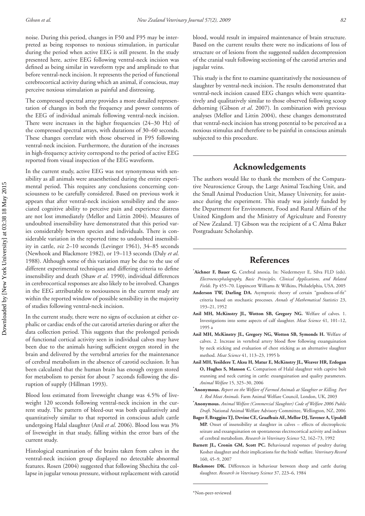Downloaded by [New York University] at 03:38 18 May 2015 Downloaded by [New York University] at 03:38 18 May 2015 noise. During this period, changes in F50 and F95 may be interpreted as being responses to noxious stimulation, in particular during the period when active EEG is still present. In the study presented here, active EEG following ventral-neck incision was defined as being similar in waveform type and amplitude to that before ventral-neck incision. It represents the period of functional cerebrocortical activity during which an animal, if conscious, may perceive noxious stimulation as painful and distressing.

The compressed spectral array provides a more detailed representation of changes in both the frequency and power contents of the EEG of individual animals following ventral-neck incision. There were increases in the higher frequencies (24–30 Hz) of the compressed spectral arrays, with durations of 30–60 seconds. These changes correlate with those observed in F95 following ventral-neck incision. Furthermore, the duration of the increases in high-frequency activity correspond to the period of active EEG reported from visual inspection of the EEG waveform.

In the current study, active EEG was not synonymous with sensibility as all animals were anaesthetised during the entire experimental period. This requires any conclusions concerning consciousness to be carefully considered. Based on previous work it appears that after ventral-neck incision sensibility and the associated cognitive ability to perceive pain and experience distress are not lost immediately (Mellor and Littin 2004). Measures of undoubted insensibility have demonstrated that this period varies considerably between species and individuals. There is considerable variation in the reported time to undoubted insensibility in cattle, *viz* 2–10 seconds (Levinger 1961), 34–85 seconds (Newhook and Blackmore 1982), or 19–113 seconds (Daly *et al*. 1988). Although some of this variation may be due to the use of different experimental techniques and differing criteria to define insensibility and death (Shaw *et al*. 1990), individual differences in cerebrocortical responses are also likely to be involved. Changes in the EEG attributable to noxiousness in the current study are within the reported window of possible sensibility in the majority of studies following ventral-neck incision.

In the current study, there were no signs of occlusion at either cephalic or cardiac ends of the cut carotid arteries during or after the data collection period. This suggests that the prolonged periods of functional cortical activity seen in individual calves may have been due to the animals having sufficient oxygen stored in the brain and delivered by the vertebral arteries for the maintenance of cerebral metabolism in the absence of carotid occlusion. It has been calculated that the human brain has enough oxygen stored for metabolism to persist for about 7 seconds following the disruption of supply (Hillman 1993).

Blood loss estimated from liveweight change was 4.5% of liveweight 120 seconds following ventral-neck incision in the current study. The pattern of bleed-out was both qualitatively and quantitatively similar to that reported in conscious adult cattle undergoing Halal slaughter (Anil *et al*. 2006). Blood loss was 3% of liveweight in that study, falling within the error bars of the current study.

Histological examination of the brains taken from calves in the ventral-neck incision group displayed no detectable abnormal features. Rosen (2004) suggested that following Shechita the collapse in jugular venous pressure, without replacement with carotid blood, would result in impaired maintenance of brain structure. Based on the current results there were no indications of loss of structure or of lesions from the suggested sudden decompression of the cranial vault following sectioning of the carotid arteries and jugular veins.

This study is the first to examine quantitatively the noxiousness of slaughter by ventral-neck incision. The results demonstrated that ventral-neck incision caused EEG changes which were quantitatively and qualitatively similar to those observed following scoop dehorning (Gibson *et al*. 2007). In combination with previous analyses (Mellor and Littin 2004), these changes demonstrated that ventral-neck incision has strong potential to be perceived as a noxious stimulus and therefore to be painful in conscious animals subjected to this procedure.

## **Acknowledgements**

The authors would like to thank the members of the Comparative Neuroscience Group, the Large Animal Teaching Unit, and the Small Animal Production Unit, Massey University, for assistance during the experiment. This study was jointly funded by the Department for Environment, Food and Rural Affairs of the United Kingdom and the Ministry of Agriculture and Forestry of New Zealand. TJ Gibson was the recipient of a C Alma Baker Postgraduate Scholarship.

## **References**

- \* **Aichner F, Bauer G.** Cerebral anoxia. In: Niedermeyer E, Silva FLD (eds). *Electroencephalography, Basic Principles, Clinical Applications, and Related Fields*. Pp 455–70. Lippincott Williams & Wilkins, Philadelphia, USA, 2005
- Anderson TW, Darling DA. Asymptotic theory of certain "goodness-of-fit" criteria based on stochastic processes. *Annals of Mathematical Statistics* 23, 193–21, 1952
- Anil MH, McKinstry JL, Wotton SB, Gregory NG. Welfare of calves. 1. Investigations into some aspects of calf slaughter. *Meat Science* 41, 101–12, 1995 a
- **Anil MH, McKinstry JL, Gregory NG, Wotton SB, Symonds H.** Welfare of calves. 2. Increase in vertebral artery blood flow following exsanguination by neck sticking and evaluation of chest sticking as an alternative slaughter method. *Meat Science* 41, 113–23, 1995 b
- **Anil MH, Yesildere T, Aksu H, Matur E, McKinstry JL, Weaver HR, Erdogan O, Hughes S, Manson C.** Comparison of Halal slaughter with captive bolt stunning and neck cutting in cattle: exsanguination and quality parameters. *Animal Welfare* 15, 325–30, 2006
- **\* Anonymous.** *Report on the Welfare of Farmed Animals at Slaughter or Killing. Part 1. Red Meat Animals*. Farm Animal Welfare Council, London, UK, 2003
- **\* Anonymous.** *Animal Welfare (Commercial Slaughter) Code of Welfare 2006 Public Draft*. National Animal Welfare Advisory Committee, Wellington, NZ, 2006
- **Bager F, Braggins TJ, Devine CE, Graafhuis AE, Mellor DJ, Tavener A, Upsdell MP.** Onset of insensibility at slaughter in calves – effects of electroplectic seizure and exsanguination on spontaneous electrocortical activity and indexes of cerebral metabolism. *Research in Veterinary Science* 52, 162–73, 1992
- **Barnett JL, Cronin GM, Scott PC.** Behavioural responses of poultry during Kosher slaughter and their implications for the birds' welfare. *Veterinary Record* 160, 45–9, 2007
- **Blackmore DK.** Differences in behaviour between sheep and cattle during slaughter. *Research in Veterinary Science* 37, 223–6, 1984

<sup>\*</sup>Non-peer-reviewed